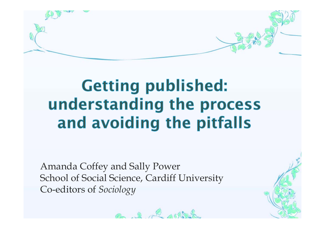

### **Getting published:** understanding the process and avoiding the pitfalls

Amanda Coffey and Sally Power School of Social Science, Cardiff University Co-editors of *Sociology*



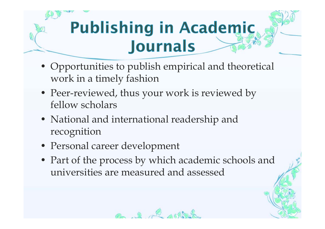### **Publishing in Academic Journals**

- Opportunities to publish empirical and theoretical work in a timely fashion
- Peer-reviewed, thus your work is reviewed by fellow scholars
- National and international readership and recognition
- Personal career development
- Part of the process by which academic schools and universities are measured and assessed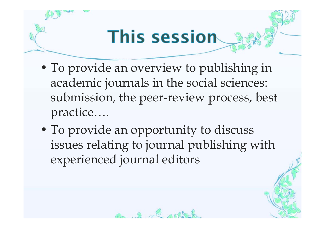### **This session**

- To provide an overview to publishing in academic journals in the social sciences: submission, the peer-review process, best practice….
- To provide an opportunity to discuss issues relating to journal publishing with experienced journal editors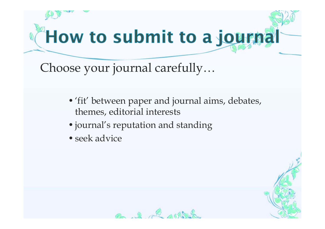How to submit to a journal

Choose your journal carefully…

- •'fit' between paper and journal aims, debates, themes, editorial interests
- journal's reputation and standing
- seek advice

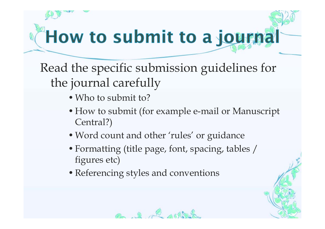# How to submit to a journal

Read the specific submission guidelines for the journal carefully

- •Who to submit to?
- How to submit (for example e-mail or Manuscript Central?)
- •Word count and other 'rules' or guidance
- •Formatting (title page, font, spacing, tables / figures etc)
- •Referencing styles and conventions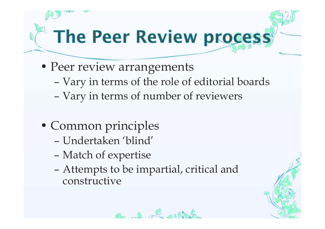## **The Peer Review process**

- Peer review arrangements
	- –Vary in terms of the role of editorial boards
	- –Vary in terms of number of reviewers
- Common principles
	- Undertaken 'blind'
	- –Match of expertise
	- – Attempts to be impartial, critical and constructive



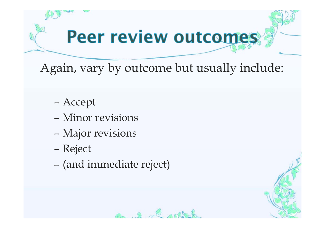### **Peer review outcomes**

Again, vary by outcome but usually include:

- –Accept
- Minor revisions
- –Major revisions
- –Reject
- –(and immediate reject)

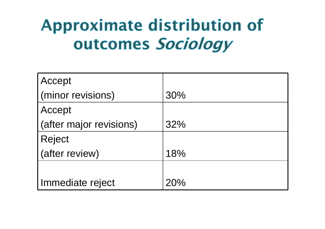### **Approximate distribution of** outcomes Sociology

| Accept                  |     |
|-------------------------|-----|
| (minor revisions)       | 30% |
| Accept                  |     |
| (after major revisions) | 32% |
| <b>Reject</b>           |     |
| (after review)          | 18% |
|                         |     |
| Immediate reject        | 20% |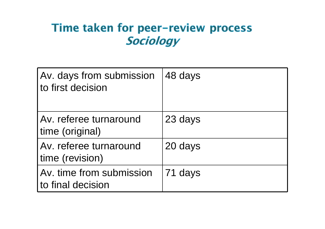#### Time taken for peer-review process Sociology

| Av. days from submission<br>to first decision | 48 days |
|-----------------------------------------------|---------|
| Av. referee turnaround<br>time (original)     | 23 days |
| Av. referee turnaround<br>time (revision)     | 20 days |
| Av. time from submission<br>to final decision | 71 days |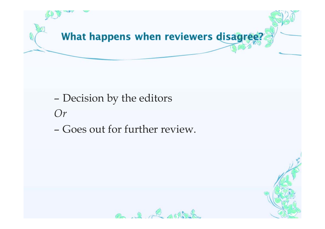

- – Decision by the editors *Or*
- Goes out for further review.



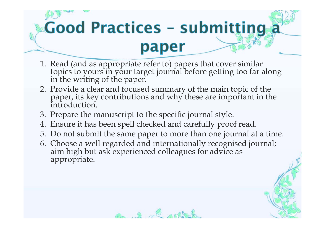### Good Practices - submitting paper

- 1. Read (and as appropriate refer to) papers that cover similar topics to yours in your target journal before getting too far along<br>in the writing of the paper.
- 2. Provide a clear and focused summary of the main topic of the paper, its key contributions and why these are important in the introduction.
- 3. Prepare the manuscript to the specific journal style.
- 4. Ensure it has been spell checked and carefully proof read.
- 5. Do not submit the same paper to more than one journal at a time.
- 6. Choose a well regarded and internationally recognised journal; aim high but ask experienced colleagues for advice as appropriate.

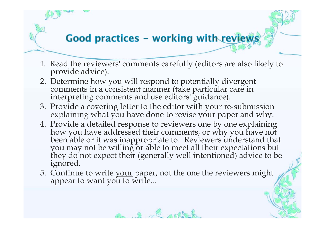#### Good practices - working with reviews

- 1. Read the reviewers' comments carefully (editors are also likely to provide advice).
- 2. Determine how you will respond to potentially divergent comments in a consistent manner (take particular care in interpreting comments and use editors' guidance).
- 3. Provide a covering letter to the editor with your re-submission explaining what you have done to revise your paper and why.
- 4. Provide a detailed response to reviewers one by one explaining how you have addressed their comments, or why you have not been able or it was inappropriate to. Reviewers understand that you may not be willing or able to meet all their expectations but they do not expect their (generally well intentioned) advice to be ignored.
- 5. Continue to write your paper, not the one the reviewers might appear to want you to write...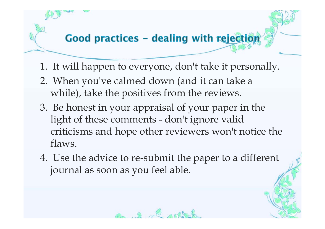#### Good practices - dealing with rejection

- 1. It will happen to everyone, don't take it personally.
- 2. When you've calmed down (and it can take a while), take the positives from the reviews.
- 3. Be honest in your appraisal of your paper in the light of these comments - don't ignore valid criticisms and hope other reviewers won't notice the flaws.
- 4. Use the advice to re-submit the paper to a different journal as soon as you feel able.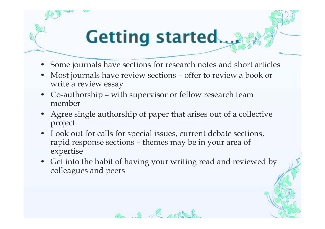### **Getting started....**

- Some journals have sections for research notes and short articles
- • Most journals have review sections – offer to review a book or write a review essay
- Co-authorship with supervisor or fellow research team member
- Agree single authorship of paper that arises out of a collective project
- Look out for calls for special issues, current debate sections, rapid response sections – themes may be in your area of expertise
- Get into the habit of having your writing read and reviewed by colleagues and peers